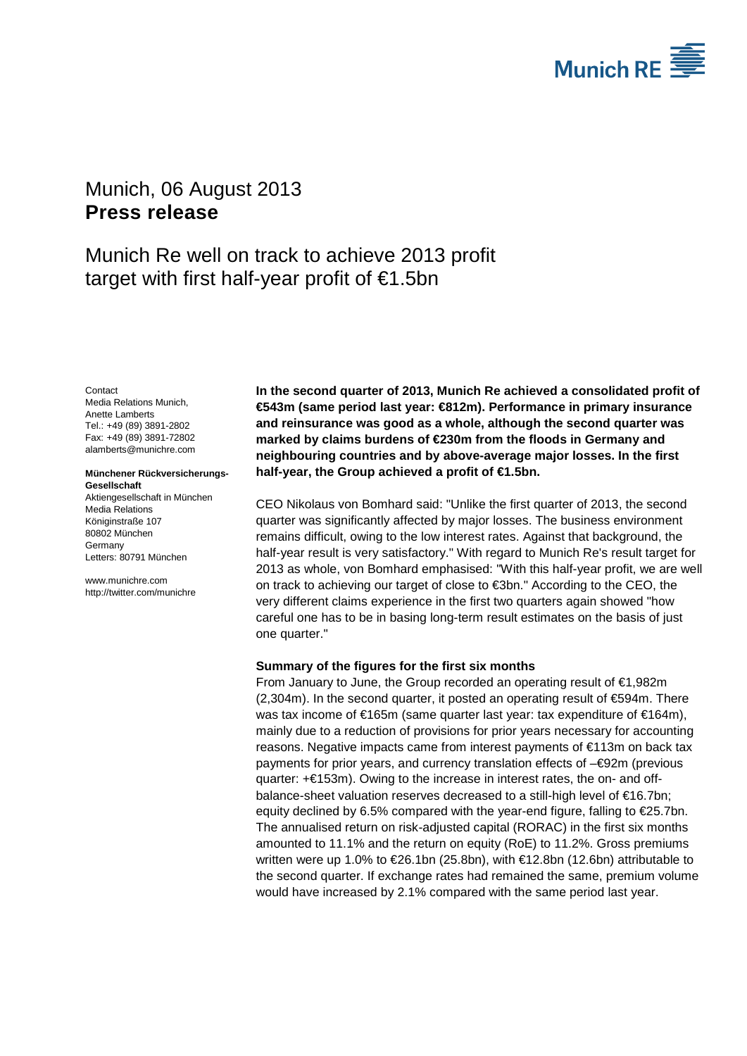

# <span id="page-0-1"></span><span id="page-0-0"></span>Munich, 06 August 2013 **Press release**

# Munich Re well on track to achieve 2013 profit target with first half-year profit of €1.5bn

<span id="page-0-3"></span><span id="page-0-2"></span>**Contact** Media Relations Munich, Anette Lamberts Tel.: +49 (89) 3891-2802 Fax: +49 (89) 3891-72802 alamberts@munichre.com

#### **Münchener Rückversicherungs-Gesellschaft**

Aktiengesellschaft in München Media Relations Königinstraße 107 80802 München Germany Letters: 80791 München

www.munichre.com http://twitter.com/munichre **In the second quarter of 2013, Munich Re achieved a consolidated profit of €543m (same period last year: €812m). Performance in primary insurance and reinsurance was good as a whole, although the second quarter was marked by claims burdens of €230m from the floods in Germany and neighbouring countries and by above-average major losses. In the first half-year, the Group achieved a profit of €1.5bn.**

CEO Nikolaus von Bomhard said: "Unlike the first quarter of 2013, the second quarter was significantly affected by major losses. The business environment remains difficult, owing to the low interest rates. Against that background, the half-year result is very satisfactory." With regard to Munich Re's result target for 2013 as whole, von Bomhard emphasised: "With this half-year profit, we are well on track to achieving our target of close to €3bn." According to the CEO, the very different claims experience in the first two quarters again showed "how careful one has to be in basing long-term result estimates on the basis of just one quarter."

## **Summary of the figures for the first six months**

From January to June, the Group recorded an operating result of €1,982m (2,304m). In the second quarter, it posted an operating result of €594m. There was tax income of €165m (same quarter last year: tax expenditure of €164m), mainly due to a reduction of provisions for prior years necessary for accounting reasons. Negative impacts came from interest payments of €113m on back tax payments for prior years, and currency translation effects of –€92m (previous quarter: +€153m). Owing to the increase in interest rates, the on- and offbalance-sheet valuation reserves decreased to a still-high level of €16.7bn; equity declined by 6.5% compared with the year-end figure, falling to €25.7bn. The annualised return on risk-adjusted capital (RORAC) in the first six months amounted to 11.1% and the return on equity (RoE) to 11.2%. Gross premiums written were up 1.0% to €26.1bn (25.8bn), with €12.8bn (12.6bn) attributable to the second quarter. If exchange rates had remained the same, premium volume would have increased by 2.1% compared with the same period last year.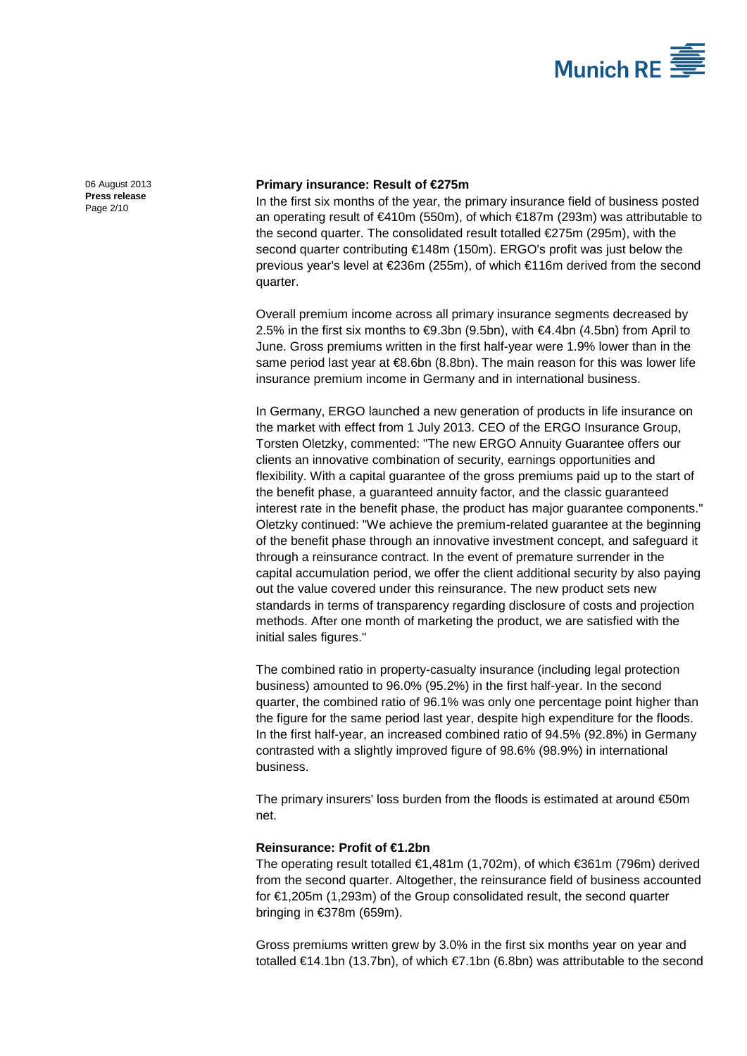

[06 August 2013](#page-0-0) **Press [release](#page-0-1)** Page 2/10

### **Primary insurance: Result of €275m**

In the first six months of the year, the primary insurance field of business posted an operating result of €410m (550m), of which €187m (293m) was attributable to the second quarter. The consolidated result totalled €275m (295m), with the second quarter contributing €148m (150m). ERGO's profit was just below the previous year's level at €236m (255m), of which €116m derived from the second quarter.

Overall premium income across all primary insurance segments decreased by 2.5% in the first six months to  $€9.3$ bn (9.5bn), with  $€4.4$ bn (4.5bn) from April to June. Gross premiums written in the first half-year were 1.9% lower than in the same period last year at €8.6bn (8.8bn). The main reason for this was lower life insurance premium income in Germany and in international business.

In Germany, ERGO launched a new generation of products in life insurance on the market with effect from 1 July 2013. CEO of the ERGO Insurance Group, Torsten Oletzky, commented: "The new ERGO Annuity Guarantee offers our clients an innovative combination of security, earnings opportunities and flexibility. With a capital guarantee of the gross premiums paid up to the start of the benefit phase, a guaranteed annuity factor, and the classic guaranteed interest rate in the benefit phase, the product has major guarantee components." Oletzky continued: "We achieve the premium-related guarantee at the beginning of the benefit phase through an innovative investment concept, and safeguard it through a reinsurance contract. In the event of premature surrender in the capital accumulation period, we offer the client additional security by also paying out the value covered under this reinsurance. The new product sets new standards in terms of transparency regarding disclosure of costs and projection methods. After one month of marketing the product, we are satisfied with the initial sales figures."

The combined ratio in property-casualty insurance (including legal protection business) amounted to 96.0% (95.2%) in the first half-year. In the second quarter, the combined ratio of 96.1% was only one percentage point higher than the figure for the same period last year, despite high expenditure for the floods. In the first half-year, an increased combined ratio of 94.5% (92.8%) in Germany contrasted with a slightly improved figure of 98.6% (98.9%) in international business.

The primary insurers' loss burden from the floods is estimated at around €50m net.

## **Reinsurance: Profit of €1.2bn**

The operating result totalled €1,481m (1,702m), of which €361m (796m) derived from the second quarter. Altogether, the reinsurance field of business accounted for €1,205m (1,293m) of the Group consolidated result, the second quarter bringing in €378m (659m).

Gross premiums written grew by 3.0% in the first six months year on year and totalled €14.1bn (13.7bn), of which €7.1bn (6.8bn) was attributable to the second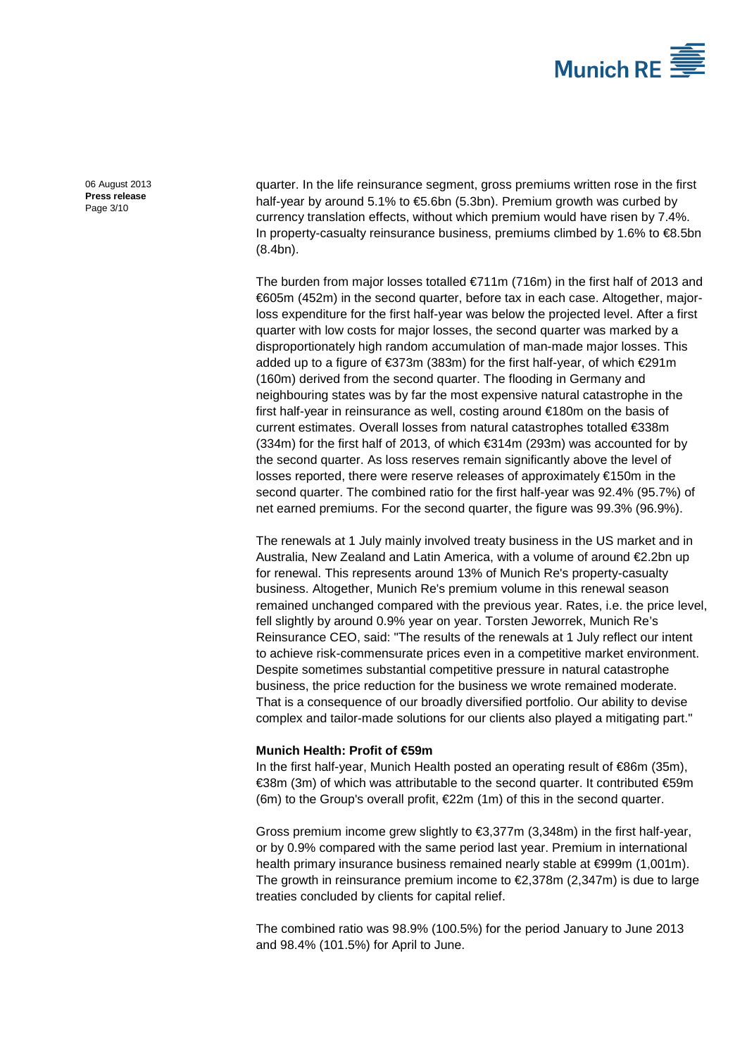

[06 August 2013](#page-0-0) **Press [release](#page-0-1)** Page 3/10

quarter. In the life reinsurance segment, gross premiums written rose in the first half-year by around 5.1% to €5.6bn (5.3bn). Premium growth was curbed by currency translation effects, without which premium would have risen by 7.4%. In property-casualty reinsurance business, premiums climbed by 1.6% to €8.5bn (8.4bn).

The burden from major losses totalled  $\epsilon$ 711m (716m) in the first half of 2013 and €605m (452m) in the second quarter, before tax in each case. Altogether, majorloss expenditure for the first half-year was below the projected level. After a first quarter with low costs for major losses, the second quarter was marked by a disproportionately high random accumulation of man-made major losses. This added up to a figure of €373m (383m) for the first half-year, of which €291m (160m) derived from the second quarter. The flooding in Germany and neighbouring states was by far the most expensive natural catastrophe in the first half-year in reinsurance as well, costing around €180m on the basis of current estimates. Overall losses from natural catastrophes totalled €338m  $(334m)$  for the first half of 2013, of which  $\text{ } \text{\ensuremath{\in}} 314m$  (293m) was accounted for by the second quarter. As loss reserves remain significantly above the level of losses reported, there were reserve releases of approximately €150m in the second quarter. The combined ratio for the first half-year was 92.4% (95.7%) of net earned premiums. For the second quarter, the figure was 99.3% (96.9%).

The renewals at 1 July mainly involved treaty business in the US market and in Australia, New Zealand and Latin America, with a volume of around €2.2bn up for renewal. This represents around 13% of Munich Re's property-casualty business. Altogether, Munich Re's premium volume in this renewal season remained unchanged compared with the previous year. Rates, i.e. the price level, fell slightly by around 0.9% year on year. Torsten Jeworrek, Munich Re's Reinsurance CEO, said: "The results of the renewals at 1 July reflect our intent to achieve risk-commensurate prices even in a competitive market environment. Despite sometimes substantial competitive pressure in natural catastrophe business, the price reduction for the business we wrote remained moderate. That is a consequence of our broadly diversified portfolio. Our ability to devise complex and tailor-made solutions for our clients also played a mitigating part."

## **Munich Health: Profit of €59m**

In the first half-year, Munich Health posted an operating result of  $\infty$ 6m (35m), €38m (3m) of which was attributable to the second quarter. It contributed €59m (6m) to the Group's overall profit,  $E22m$  (1m) of this in the second quarter.

Gross premium income grew slightly to €3,377m (3,348m) in the first half-year, or by 0.9% compared with the same period last year. Premium in international health primary insurance business remained nearly stable at €999m (1,001m). The growth in reinsurance premium income to €2,378m (2,347m) is due to large treaties concluded by clients for capital relief.

The combined ratio was 98.9% (100.5%) for the period January to June 2013 and 98.4% (101.5%) for April to June.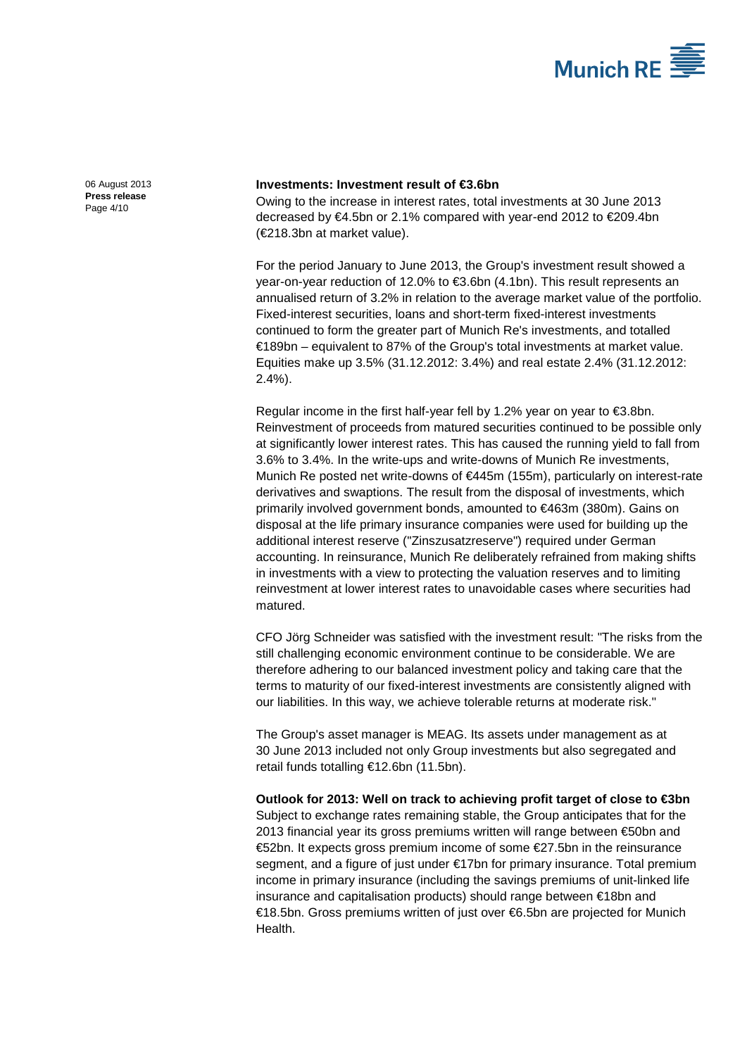

[06 August 2013](#page-0-0) **Press [release](#page-0-1)** Page 4/10

### **Investments: Investment result of €3.6bn**

Owing to the increase in interest rates, total investments at 30 June 2013 decreased by €4.5bn or 2.1% compared with year-end 2012 to €209.4bn (€218.3bn at market value).

For the period January to June 2013, the Group's investment result showed a year-on-year reduction of 12.0% to €3.6bn (4.1bn). This result represents an annualised return of 3.2% in relation to the average market value of the portfolio. Fixed-interest securities, loans and short-term fixed-interest investments continued to form the greater part of Munich Re's investments, and totalled €189bn – equivalent to 87% of the Group's total investments at market value. Equities make up 3.5% (31.12.2012: 3.4%) and real estate 2.4% (31.12.2012: 2.4%).

Regular income in the first half-year fell by 1.2% year on year to €3.8bn. Reinvestment of proceeds from matured securities continued to be possible only at significantly lower interest rates. This has caused the running yield to fall from 3.6% to 3.4%. In the write-ups and write-downs of Munich Re investments, Munich Re posted net write-downs of €445m (155m), particularly on interest-rate derivatives and swaptions. The result from the disposal of investments, which primarily involved government bonds, amounted to €463m (380m). Gains on disposal at the life primary insurance companies were used for building up the additional interest reserve ("Zinszusatzreserve") required under German accounting. In reinsurance, Munich Re deliberately refrained from making shifts in investments with a view to protecting the valuation reserves and to limiting reinvestment at lower interest rates to unavoidable cases where securities had matured.

CFO Jörg Schneider was satisfied with the investment result: "The risks from the still challenging economic environment continue to be considerable. We are therefore adhering to our balanced investment policy and taking care that the terms to maturity of our fixed-interest investments are consistently aligned with our liabilities. In this way, we achieve tolerable returns at moderate risk."

The Group's asset manager is MEAG. Its assets under management as at 30 June 2013 included not only Group investments but also segregated and retail funds totalling €12.6bn (11.5bn).

**Outlook for 2013: Well on track to achieving profit target of close to €3bn** Subject to exchange rates remaining stable, the Group anticipates that for the 2013 financial year its gross premiums written will range between €50bn and €52bn. It expects gross premium income of some €27.5bn in the reinsurance segment, and a figure of just under €17bn for primary insurance. Total premium income in primary insurance (including the savings premiums of unit-linked life insurance and capitalisation products) should range between €18bn and €18.5bn. Gross premiums written of just over €6.5bn are projected for Munich Health.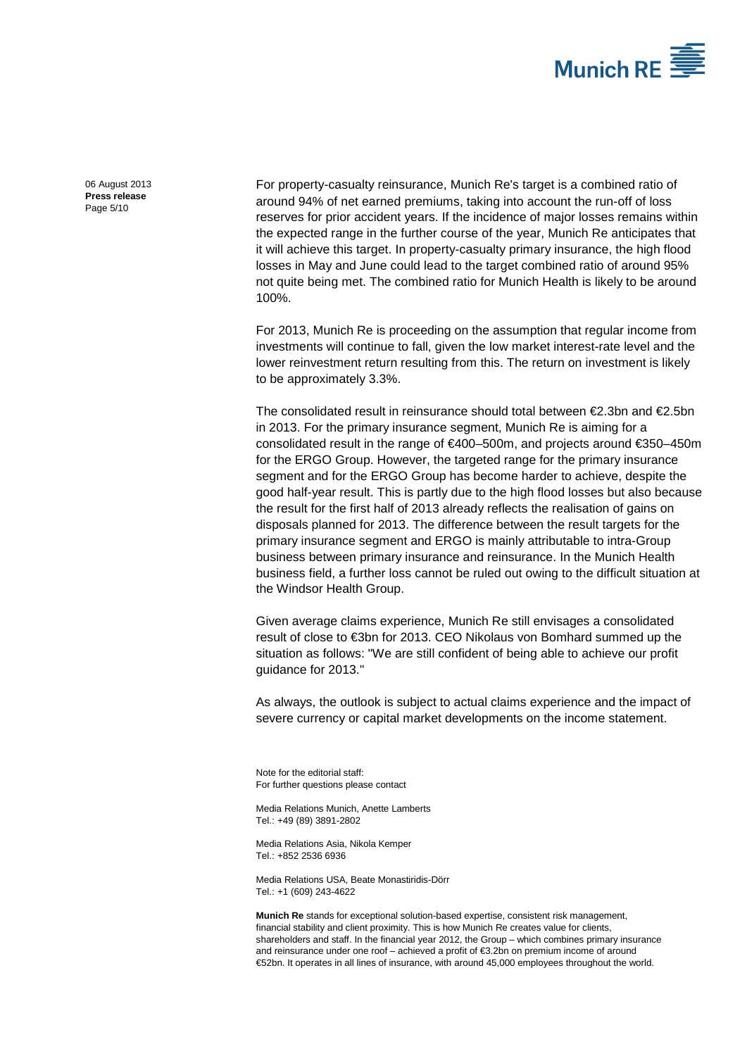

[06 August 2013](#page-0-0) **Press [release](#page-0-1)** Page 5/10

For property-casualty reinsurance, Munich Re's target is a combined ratio of around 94% of net earned premiums, taking into account the run-off of loss reserves for prior accident years. If the incidence of major losses remains within the expected range in the further course of the year, Munich Re anticipates that it will achieve this target. In property-casualty primary insurance, the high flood losses in May and June could lead to the target combined ratio of around 95% not quite being met. The combined ratio for Munich Health is likely to be around 100%.

For 2013, Munich Re is proceeding on the assumption that regular income from investments will continue to fall, given the low market interest-rate level and the lower reinvestment return resulting from this. The return on investment is likely to be approximately 3.3%.

The consolidated result in reinsurance should total between  $\epsilon$ 2.3bn and  $\epsilon$ 2.5bn in 2013. For the primary insurance segment, Munich Re is aiming for a consolidated result in the range of €400–500m, and projects around €350–450m for the ERGO Group. However, the targeted range for the primary insurance segment and for the ERGO Group has become harder to achieve, despite the good half-year result. This is partly due to the high flood losses but also because the result for the first half of 2013 already reflects the realisation of gains on disposals planned for 2013. The difference between the result targets for the primary insurance segment and ERGO is mainly attributable to intra-Group business between primary insurance and reinsurance. In the Munich Health business field, a further loss cannot be ruled out owing to the difficult situation at the Windsor Health Group.

Given average claims experience, Munich Re still envisages a consolidated result of close to €3bn for 2013. CEO Nikolaus von Bomhard summed up the situation as follows: "We are still confident of being able to achieve our profit guidance for 2013."

As always, the outlook is subject to actual claims experience and the impact of severe currency or capital market developments on the income statement.

Note for the editorial staff: For further questions please contact

Media Relations Munich[, Anette Lamberts](#page-0-2) Tel.: +49 (89) 389[1-2802](#page-0-3)

Media Relations Asia, Nikola Kemper Tel.: +852 2536 6936

Media Relations USA, Beate Monastiridis-Dörr Tel.: +1 (609) 243-4622

**Munich Re** stands for exceptional solution-based expertise, consistent risk management, financial stability and client proximity. This is how Munich Re creates value for clients, shareholders and staff. In the financial year 2012, the Group – which combines primary insurance and reinsurance under one roof – achieved a profit of €3.2bn on premium income of around €52bn. It operates in all lines of insurance, with around 45,000 employees throughout the world.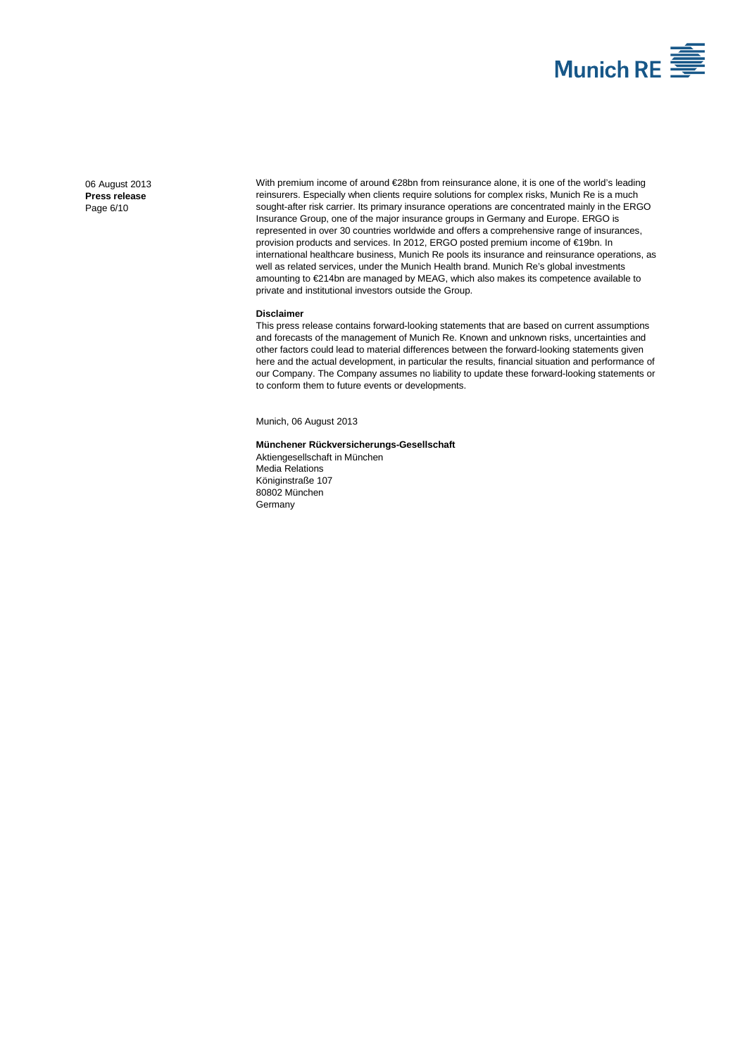

[06 August 2013](#page-0-0) **Press [release](#page-0-1)** Page 6/10

With premium income of around €28bn from reinsurance alone, it is one of the world's leading reinsurers. Especially when clients require solutions for complex risks, Munich Re is a much sought-after risk carrier. Its primary insurance operations are concentrated mainly in the ERGO Insurance Group, one of the major insurance groups in Germany and Europe. ERGO is represented in over 30 countries worldwide and offers a comprehensive range of insurances, provision products and services. In 2012, ERGO posted premium income of €19bn. In international healthcare business, Munich Re pools its insurance and reinsurance operations, as well as related services, under the Munich Health brand. Munich Re's global investments amounting to €214bn are managed by MEAG, which also makes its competence available to private and institutional investors outside the Group.

#### **Disclaimer**

This press release contains forward-looking statements that are based on current assumptions and forecasts of the management of Munich Re. Known and unknown risks, uncertainties and other factors could lead to material differences between the forward-looking statements given here and the actual development, in particular the results, financial situation and performance of our Company. The Company assumes no liability to update these forward-looking statements or to conform them to future events or developments.

Munich[, 06 August 2013](#page-0-0)

#### **Münchener Rückversicherungs-Gesellschaft**

Aktiengesellschaft in München Media Relations Königinstraße 107 80802 München Germany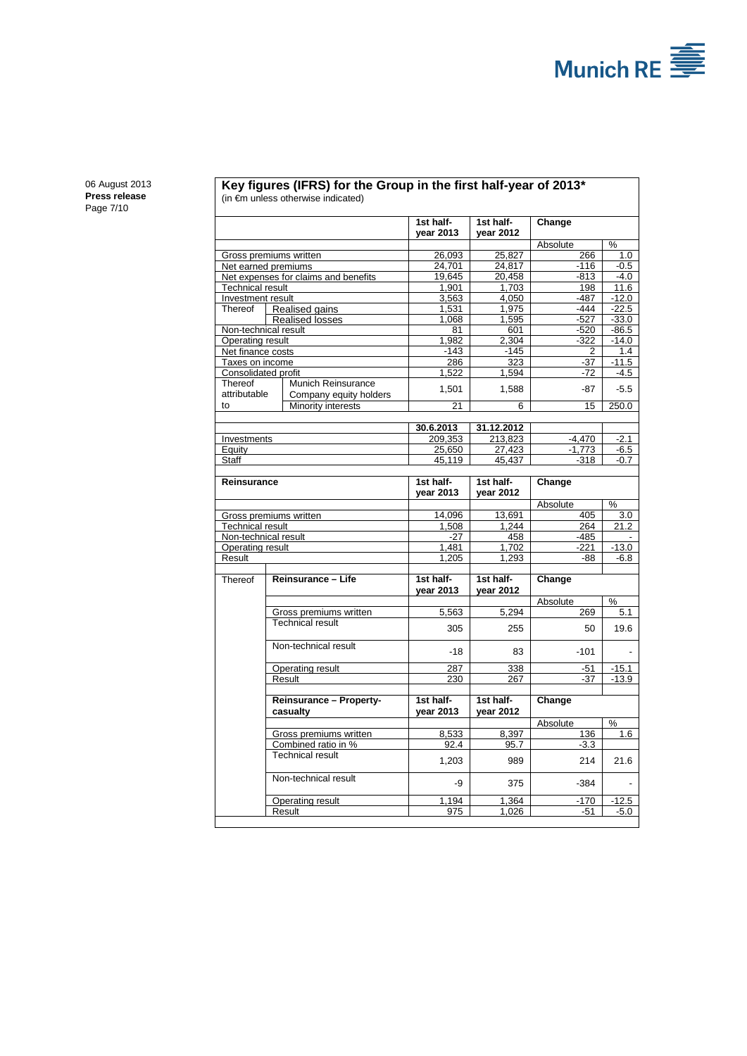

[06 August 2013](#page-0-0) **Press [release](#page-0-1)** Page 7/10

#### **Key figures (IFRS) for the Group in the first half-year of 2013\*** (in €m unless otherwise indicated)

|                                       |                                      | 1st half-<br>year 2013 | 1st half-<br>vear 2012 | Change                   |                |
|---------------------------------------|--------------------------------------|------------------------|------------------------|--------------------------|----------------|
|                                       |                                      |                        |                        | Absolute                 | %              |
| Gross premiums written                |                                      | 26,093                 | 25.827                 | 266                      | 1.0            |
|                                       | Net earned premiums                  | 24,701                 | 24,817                 | $-116$                   | $-0.5$         |
|                                       | Net expenses for claims and benefits | 19,645                 | 20,458                 | $-813$                   | $-4.0$         |
| Technical result                      |                                      | 1,901                  | 1,703                  | 198                      | 11.6           |
| Investment result                     |                                      | 3,563                  | 4,050                  | $-487$                   | $-12.0$        |
| Thereof                               | Realised gains                       | 1,531                  | 1,975                  | $-444$                   | $-22.5$        |
|                                       | <b>Realised losses</b>               | 1,068                  | 1,595                  | $-527$                   | $-33.0$        |
| Non-technical result                  |                                      | 81                     | 601                    | -520                     | $-86.5$        |
| Operating result<br>Net finance costs |                                      | 1,982<br>$-143$        | 2,304<br>$-145$        | $-322$<br>$\overline{2}$ | $-14.0$<br>1.4 |
| Taxes on income                       |                                      | 286                    | 323                    | $-37$                    | $-11.5$        |
| Consolidated profit                   |                                      | 1,522                  | 1,594                  | $-72$                    | $-4.5$         |
| Thereof                               | Munich Reinsurance                   |                        |                        |                          |                |
| attributable                          | Company equity holders               | 1,501                  | 1,588                  | $-87$                    | $-5.5$         |
| to                                    | Minority interests                   | $\overline{21}$        | 6                      | $\overline{15}$          | 250.0          |
|                                       |                                      | 30.6.2013              | 31.12.2012             |                          |                |
| Investments                           |                                      | 209,353                | 213,823                | $-4,470$                 | $-2.1$         |
| Equity                                |                                      | 25,650                 | 27,423                 | $-1,773$                 | $-6.5$         |
| Staff                                 |                                      | 45,119                 | 45,437                 | $-318$                   | $-0.7$         |
|                                       |                                      |                        |                        |                          |                |
| <b>Reinsurance</b>                    |                                      | 1st half-<br>vear 2013 | 1st half-<br>vear 2012 | Change                   |                |
|                                       |                                      |                        |                        | Absolute                 | %              |
|                                       | Gross premiums written               | 14.096                 | 13,691                 | 405                      | 3.0            |
| Technical result                      |                                      | 1,508                  | 1,244                  | 264                      | 21.2           |
| Non-technical result                  |                                      | $-27$                  | 458                    | $-485$                   |                |
| Operating result                      |                                      | 1.481                  | 1.702                  | $-221$                   | $-13.0$        |
| Result                                |                                      | 1,205                  | 1,293                  | -88                      | $-6.8$         |
|                                       |                                      |                        |                        |                          |                |
| Thereof                               | Reinsurance - Life                   | 1st half-<br>vear 2013 | 1st half-<br>vear 2012 | Change                   |                |
|                                       |                                      |                        |                        | Absolute                 | %              |
|                                       | Gross premiums written               | 5,563                  | 5.294                  | 269                      | 5.1            |
|                                       | <b>Technical result</b>              | 305                    | 255                    | 50                       | 19.6           |
|                                       |                                      |                        |                        |                          |                |
|                                       | Non-technical result                 | $-18$                  | 83                     | $-101$                   |                |
|                                       | Operating result                     | 287                    | 338                    | $-51$                    | $-15.1$        |
|                                       | Result                               | 230                    | 267                    | $-37$                    | $-13.9$        |
|                                       | <b>Reinsurance - Property-</b>       | 1st half-<br>year 2013 | 1st half-              | Change                   |                |
|                                       | casualty                             |                        | year 2012              | Absolute                 | %              |
|                                       | Gross premiums written               | 8,533                  | 8,397                  | 136                      | 1.6            |
|                                       | Combined ratio in %                  | $92.\overline{4}$      | 95.7                   | $-3.3$                   |                |
|                                       | <b>Technical result</b>              | 1,203                  | 989                    | 214                      | 21.6           |
|                                       | Non-technical result                 | -9                     | 375                    | $-384$                   |                |
|                                       | Operating result                     | 1.194                  | 1.364                  | $-170$                   | $-12.5$        |
|                                       | Result                               | 975                    | 1.026                  | $-51$                    | $-5.0$         |
|                                       |                                      |                        |                        |                          |                |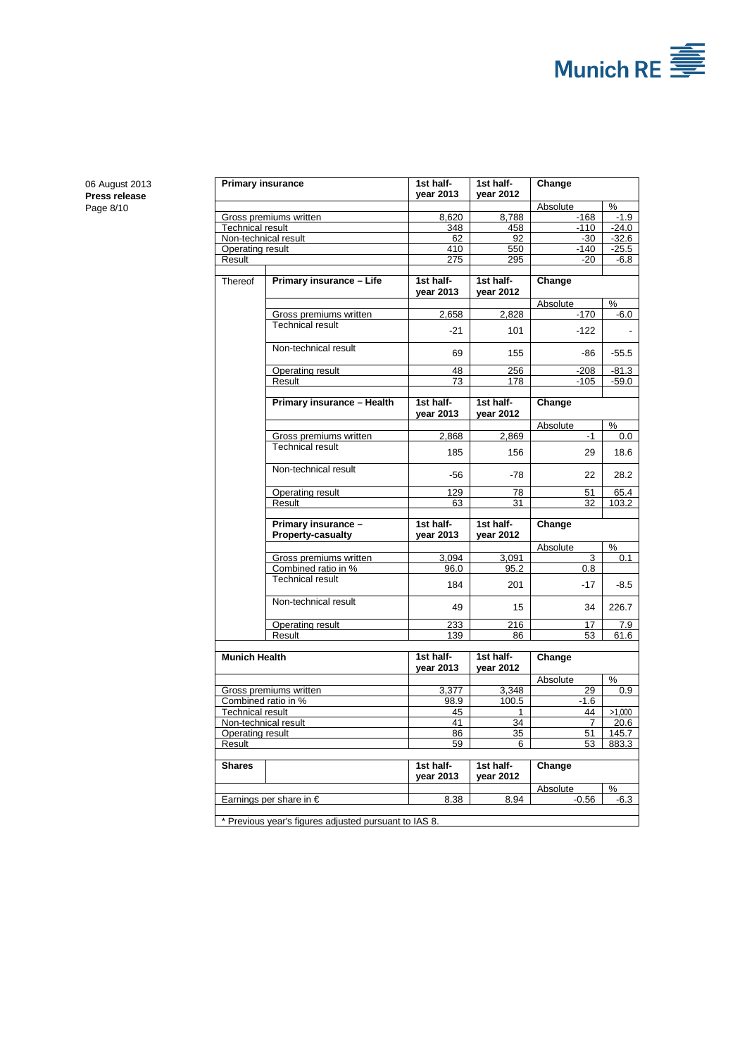

[06 August 2013](#page-0-0) **Press [release](#page-0-1)** Page 8/10

| <b>Primary insurance</b> |                                                       | 1st half-<br>year 2013 | 1st half-<br>year 2012 | Change   |         |
|--------------------------|-------------------------------------------------------|------------------------|------------------------|----------|---------|
|                          |                                                       |                        |                        | Absolute | $\%$    |
| Gross premiums written   |                                                       | 8,620                  | 8,788                  | $-168$   | $-1.9$  |
| <b>Technical result</b>  |                                                       | 348                    | 458                    | $-110$   | $-24.0$ |
|                          | Non-technical result                                  | 62                     | 92                     | $-30$    | $-32.6$ |
| Operating result         |                                                       | 410                    | 550                    | $-140$   | $-25.5$ |
| Result                   |                                                       | 275                    | 295                    | $-20$    | -6.8    |
|                          |                                                       |                        |                        |          |         |
| Thereof                  | Primary insurance - Life                              | 1st half-              | 1st half-              | Change   |         |
|                          |                                                       | vear 2013              | year 2012              |          |         |
|                          |                                                       |                        |                        | Absolute | %       |
|                          | Gross premiums written                                | 2,658                  | 2,828                  | $-170$   | $-6.0$  |
|                          | <b>Technical result</b>                               |                        |                        |          |         |
|                          |                                                       | $-21$                  | 101                    | $-122$   |         |
|                          | Non-technical result                                  |                        |                        |          |         |
|                          |                                                       | 69                     | 155                    | -86      | $-55.5$ |
|                          | Operating result                                      | 48                     | 256                    | $-208$   | -81.3   |
|                          | Result                                                | 73                     | 178                    | $-105$   | -59.0   |
|                          |                                                       |                        |                        |          |         |
|                          | Primary insurance - Health                            | 1st half-              | 1st half-              | Change   |         |
|                          |                                                       | year 2013              | year 2012              |          |         |
|                          |                                                       |                        |                        | Absolute | %       |
|                          | Gross premiums written                                | 2,868                  | 2,869                  | $-1$     | $0.0\,$ |
|                          | <b>Technical result</b>                               |                        |                        |          |         |
|                          |                                                       | 185                    | 156                    | 29       | 18.6    |
|                          | Non-technical result                                  | $-56$                  | $-78$                  | 22       | 28.2    |
|                          | Operating result                                      | 129                    | 78                     | 51       | 65.4    |
|                          | Result                                                | 63                     | 31                     | 32       | 103.2   |
|                          |                                                       |                        |                        |          |         |
|                          | Primary insurance -                                   | 1st half-              | 1st half-              | Change   |         |
|                          | <b>Property-casualty</b>                              | year 2013              | year 2012              |          |         |
|                          |                                                       |                        |                        | Absolute | %       |
|                          | Gross premiums written                                | 3,094                  | 3,091                  | 3        | 0.1     |
|                          | Combined ratio in %                                   | 96.0                   | 95.2                   | 0.8      |         |
|                          | <b>Technical result</b>                               | 184                    | 201                    | $-17$    |         |
|                          |                                                       |                        |                        |          | -8.5    |
|                          | Non-technical result                                  | 49                     | 15                     | 34       | 226.7   |
|                          | Operating result                                      | 233                    | 216                    | 17       | 7.9     |
|                          | Result                                                | 139                    | 86                     | 53       | 61.6    |
|                          |                                                       |                        |                        |          |         |
| <b>Munich Health</b>     |                                                       | 1st half-<br>vear 2013 | 1st half-<br>vear 2012 | Change   |         |
|                          |                                                       |                        |                        | Absolute | %       |
| Gross premiums written   |                                                       | 3,377                  | 3.348                  | 29       | 0.9     |
| Combined ratio in %      |                                                       | 98.9                   | 100.5                  | $-1.6$   |         |
| <b>Technical result</b>  |                                                       | 45                     | 1                      | 44       | >1,000  |
| Non-technical result     |                                                       | 41                     | 34                     |          | 20.6    |
| Operating result         |                                                       | 86                     | 35                     | 51       | 145.7   |
| Result                   |                                                       | 59                     | 6                      | 53       | 883.3   |
|                          |                                                       |                        |                        |          |         |
| <b>Shares</b>            |                                                       | 1st half-<br>year 2013 | 1st half-<br>year 2012 | Change   |         |
|                          |                                                       |                        |                        | Absolute | %       |
|                          | Earnings per share in $\epsilon$                      | 8.38                   | 8.94                   | $-0.56$  | $-6.3$  |
|                          |                                                       |                        |                        |          |         |
|                          | * Previous year's figures adjusted pursuant to IAS 8. |                        |                        |          |         |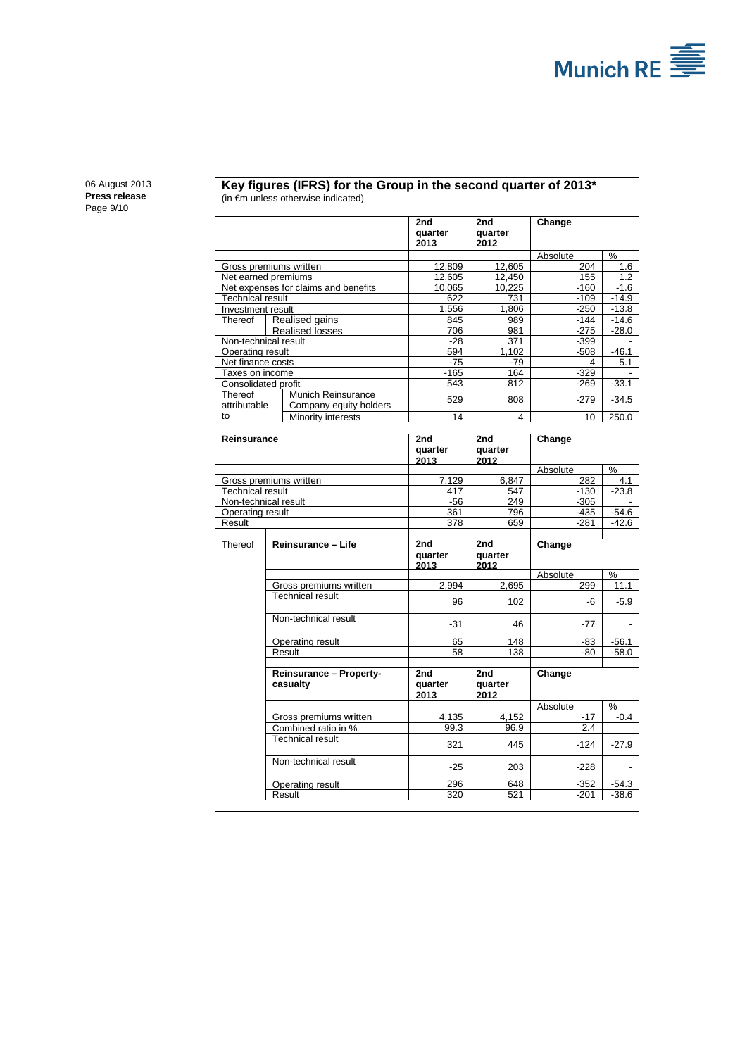

[06 August 2013](#page-0-0) **Press [release](#page-0-1)** Page 9/10

#### **Key figures (IFRS) for the Group in the second quarter of 2013\*** (in €m unless otherwise indicated)

| 2013<br>2012<br>Absolute<br>$\frac{0}{0}$<br>12.809<br>12.605<br>204<br>Gross premiums written<br>1.6<br>12,450<br>155<br>Net earned premiums<br>12,605<br>1.2<br>Net expenses for claims and benefits<br>10,065<br>10,225<br>$-160$<br>$-1.6$<br><b>Technical result</b><br>622<br>731<br>$-109$<br>$-14.9$<br>$-250$<br>Investment result<br>1,556<br>1,806<br>$-13.8$<br>Realised gains<br>845<br>$-144$<br>$-14.6$<br>Thereof<br>989<br>706<br>$-28.0$<br><b>Realised losses</b><br>981<br>$-275$<br>Non-technical result<br>$-28$<br>371<br>$-399$<br>Operating result<br>594<br>1,102<br>$-46.1$<br>$-508$<br>Net finance costs<br>$-75$<br>$-79$<br>5.1<br>4<br>Taxes on income<br>$-165$<br>164<br>$-329$<br>543<br>812<br>$-33.1$<br>Consolidated profit<br>$-269$<br>Munich Reinsurance<br>Thereof<br>529<br>808<br>$-279$<br>$-34.5$<br>attributable<br>Company equity holders<br>to<br>14<br>4<br>10<br>250.0<br>Minority interests<br>Reinsurance<br>2nd<br>2nd<br>Change<br>quarter<br>quarter<br>2013<br>2012<br>Absolute<br>%<br>Gross premiums written<br>7,129<br>6,847<br>282<br>4.1<br><b>Technical result</b><br>417<br>547<br>$-130$<br>$-23.8$<br>$-56$<br>249<br>$-305$<br>Non-technical result<br>Operating result<br>361<br>796<br>$-435$<br>$-54.6$<br>Result<br>378<br>659<br>$-281$<br>$-42.6$<br>Thereof<br>Reinsurance - Life<br>2nd<br>Change<br>2nd<br>quarter<br>quarter<br>2013<br>2012<br>%<br>Absolute<br>Gross premiums written<br>2,695<br>299<br>2,994<br>11.1<br><b>Technical result</b><br>96<br>102<br>$-5.9$<br>-6<br>Non-technical result<br>-31<br>46<br>$-77$<br>Operating result<br>148<br>65<br>-83<br>$-56.1$<br>58<br>138<br>$-58.0$<br>Result<br>-80<br>Reinsurance - Property-<br>2nd<br>2nd<br>Change<br>casualty<br>quarter<br>quarter<br>2013<br>2012<br>Absolute<br>%<br>$-17$<br>4,135<br>4,152<br>$-0.4$<br>Gross premiums written<br>2.4<br>Combined ratio in %<br>99.3<br>96.9<br><b>Technical result</b><br>445<br>$-124$<br>321<br>$-27.9$<br>Non-technical result<br>$-25$<br>203<br>$-228$<br>296<br>648<br>$-352$<br>$-54.3$<br>Operating result<br>320<br>521<br>$-201$<br>$-38.6$<br>Result |  |  | 2nd<br>quarter | 2nd<br>quarter | Change |  |
|-----------------------------------------------------------------------------------------------------------------------------------------------------------------------------------------------------------------------------------------------------------------------------------------------------------------------------------------------------------------------------------------------------------------------------------------------------------------------------------------------------------------------------------------------------------------------------------------------------------------------------------------------------------------------------------------------------------------------------------------------------------------------------------------------------------------------------------------------------------------------------------------------------------------------------------------------------------------------------------------------------------------------------------------------------------------------------------------------------------------------------------------------------------------------------------------------------------------------------------------------------------------------------------------------------------------------------------------------------------------------------------------------------------------------------------------------------------------------------------------------------------------------------------------------------------------------------------------------------------------------------------------------------------------------------------------------------------------------------------------------------------------------------------------------------------------------------------------------------------------------------------------------------------------------------------------------------------------------------------------------------------------------------------------------------------------------------------------------------------------------------------------------------------------|--|--|----------------|----------------|--------|--|
|                                                                                                                                                                                                                                                                                                                                                                                                                                                                                                                                                                                                                                                                                                                                                                                                                                                                                                                                                                                                                                                                                                                                                                                                                                                                                                                                                                                                                                                                                                                                                                                                                                                                                                                                                                                                                                                                                                                                                                                                                                                                                                                                                                 |  |  |                |                |        |  |
|                                                                                                                                                                                                                                                                                                                                                                                                                                                                                                                                                                                                                                                                                                                                                                                                                                                                                                                                                                                                                                                                                                                                                                                                                                                                                                                                                                                                                                                                                                                                                                                                                                                                                                                                                                                                                                                                                                                                                                                                                                                                                                                                                                 |  |  |                |                |        |  |
|                                                                                                                                                                                                                                                                                                                                                                                                                                                                                                                                                                                                                                                                                                                                                                                                                                                                                                                                                                                                                                                                                                                                                                                                                                                                                                                                                                                                                                                                                                                                                                                                                                                                                                                                                                                                                                                                                                                                                                                                                                                                                                                                                                 |  |  |                |                |        |  |
|                                                                                                                                                                                                                                                                                                                                                                                                                                                                                                                                                                                                                                                                                                                                                                                                                                                                                                                                                                                                                                                                                                                                                                                                                                                                                                                                                                                                                                                                                                                                                                                                                                                                                                                                                                                                                                                                                                                                                                                                                                                                                                                                                                 |  |  |                |                |        |  |
|                                                                                                                                                                                                                                                                                                                                                                                                                                                                                                                                                                                                                                                                                                                                                                                                                                                                                                                                                                                                                                                                                                                                                                                                                                                                                                                                                                                                                                                                                                                                                                                                                                                                                                                                                                                                                                                                                                                                                                                                                                                                                                                                                                 |  |  |                |                |        |  |
|                                                                                                                                                                                                                                                                                                                                                                                                                                                                                                                                                                                                                                                                                                                                                                                                                                                                                                                                                                                                                                                                                                                                                                                                                                                                                                                                                                                                                                                                                                                                                                                                                                                                                                                                                                                                                                                                                                                                                                                                                                                                                                                                                                 |  |  |                |                |        |  |
|                                                                                                                                                                                                                                                                                                                                                                                                                                                                                                                                                                                                                                                                                                                                                                                                                                                                                                                                                                                                                                                                                                                                                                                                                                                                                                                                                                                                                                                                                                                                                                                                                                                                                                                                                                                                                                                                                                                                                                                                                                                                                                                                                                 |  |  |                |                |        |  |
|                                                                                                                                                                                                                                                                                                                                                                                                                                                                                                                                                                                                                                                                                                                                                                                                                                                                                                                                                                                                                                                                                                                                                                                                                                                                                                                                                                                                                                                                                                                                                                                                                                                                                                                                                                                                                                                                                                                                                                                                                                                                                                                                                                 |  |  |                |                |        |  |
|                                                                                                                                                                                                                                                                                                                                                                                                                                                                                                                                                                                                                                                                                                                                                                                                                                                                                                                                                                                                                                                                                                                                                                                                                                                                                                                                                                                                                                                                                                                                                                                                                                                                                                                                                                                                                                                                                                                                                                                                                                                                                                                                                                 |  |  |                |                |        |  |
|                                                                                                                                                                                                                                                                                                                                                                                                                                                                                                                                                                                                                                                                                                                                                                                                                                                                                                                                                                                                                                                                                                                                                                                                                                                                                                                                                                                                                                                                                                                                                                                                                                                                                                                                                                                                                                                                                                                                                                                                                                                                                                                                                                 |  |  |                |                |        |  |
|                                                                                                                                                                                                                                                                                                                                                                                                                                                                                                                                                                                                                                                                                                                                                                                                                                                                                                                                                                                                                                                                                                                                                                                                                                                                                                                                                                                                                                                                                                                                                                                                                                                                                                                                                                                                                                                                                                                                                                                                                                                                                                                                                                 |  |  |                |                |        |  |
|                                                                                                                                                                                                                                                                                                                                                                                                                                                                                                                                                                                                                                                                                                                                                                                                                                                                                                                                                                                                                                                                                                                                                                                                                                                                                                                                                                                                                                                                                                                                                                                                                                                                                                                                                                                                                                                                                                                                                                                                                                                                                                                                                                 |  |  |                |                |        |  |
|                                                                                                                                                                                                                                                                                                                                                                                                                                                                                                                                                                                                                                                                                                                                                                                                                                                                                                                                                                                                                                                                                                                                                                                                                                                                                                                                                                                                                                                                                                                                                                                                                                                                                                                                                                                                                                                                                                                                                                                                                                                                                                                                                                 |  |  |                |                |        |  |
|                                                                                                                                                                                                                                                                                                                                                                                                                                                                                                                                                                                                                                                                                                                                                                                                                                                                                                                                                                                                                                                                                                                                                                                                                                                                                                                                                                                                                                                                                                                                                                                                                                                                                                                                                                                                                                                                                                                                                                                                                                                                                                                                                                 |  |  |                |                |        |  |
|                                                                                                                                                                                                                                                                                                                                                                                                                                                                                                                                                                                                                                                                                                                                                                                                                                                                                                                                                                                                                                                                                                                                                                                                                                                                                                                                                                                                                                                                                                                                                                                                                                                                                                                                                                                                                                                                                                                                                                                                                                                                                                                                                                 |  |  |                |                |        |  |
|                                                                                                                                                                                                                                                                                                                                                                                                                                                                                                                                                                                                                                                                                                                                                                                                                                                                                                                                                                                                                                                                                                                                                                                                                                                                                                                                                                                                                                                                                                                                                                                                                                                                                                                                                                                                                                                                                                                                                                                                                                                                                                                                                                 |  |  |                |                |        |  |
|                                                                                                                                                                                                                                                                                                                                                                                                                                                                                                                                                                                                                                                                                                                                                                                                                                                                                                                                                                                                                                                                                                                                                                                                                                                                                                                                                                                                                                                                                                                                                                                                                                                                                                                                                                                                                                                                                                                                                                                                                                                                                                                                                                 |  |  |                |                |        |  |
|                                                                                                                                                                                                                                                                                                                                                                                                                                                                                                                                                                                                                                                                                                                                                                                                                                                                                                                                                                                                                                                                                                                                                                                                                                                                                                                                                                                                                                                                                                                                                                                                                                                                                                                                                                                                                                                                                                                                                                                                                                                                                                                                                                 |  |  |                |                |        |  |
|                                                                                                                                                                                                                                                                                                                                                                                                                                                                                                                                                                                                                                                                                                                                                                                                                                                                                                                                                                                                                                                                                                                                                                                                                                                                                                                                                                                                                                                                                                                                                                                                                                                                                                                                                                                                                                                                                                                                                                                                                                                                                                                                                                 |  |  |                |                |        |  |
|                                                                                                                                                                                                                                                                                                                                                                                                                                                                                                                                                                                                                                                                                                                                                                                                                                                                                                                                                                                                                                                                                                                                                                                                                                                                                                                                                                                                                                                                                                                                                                                                                                                                                                                                                                                                                                                                                                                                                                                                                                                                                                                                                                 |  |  |                |                |        |  |
|                                                                                                                                                                                                                                                                                                                                                                                                                                                                                                                                                                                                                                                                                                                                                                                                                                                                                                                                                                                                                                                                                                                                                                                                                                                                                                                                                                                                                                                                                                                                                                                                                                                                                                                                                                                                                                                                                                                                                                                                                                                                                                                                                                 |  |  |                |                |        |  |
|                                                                                                                                                                                                                                                                                                                                                                                                                                                                                                                                                                                                                                                                                                                                                                                                                                                                                                                                                                                                                                                                                                                                                                                                                                                                                                                                                                                                                                                                                                                                                                                                                                                                                                                                                                                                                                                                                                                                                                                                                                                                                                                                                                 |  |  |                |                |        |  |
|                                                                                                                                                                                                                                                                                                                                                                                                                                                                                                                                                                                                                                                                                                                                                                                                                                                                                                                                                                                                                                                                                                                                                                                                                                                                                                                                                                                                                                                                                                                                                                                                                                                                                                                                                                                                                                                                                                                                                                                                                                                                                                                                                                 |  |  |                |                |        |  |
|                                                                                                                                                                                                                                                                                                                                                                                                                                                                                                                                                                                                                                                                                                                                                                                                                                                                                                                                                                                                                                                                                                                                                                                                                                                                                                                                                                                                                                                                                                                                                                                                                                                                                                                                                                                                                                                                                                                                                                                                                                                                                                                                                                 |  |  |                |                |        |  |
|                                                                                                                                                                                                                                                                                                                                                                                                                                                                                                                                                                                                                                                                                                                                                                                                                                                                                                                                                                                                                                                                                                                                                                                                                                                                                                                                                                                                                                                                                                                                                                                                                                                                                                                                                                                                                                                                                                                                                                                                                                                                                                                                                                 |  |  |                |                |        |  |
|                                                                                                                                                                                                                                                                                                                                                                                                                                                                                                                                                                                                                                                                                                                                                                                                                                                                                                                                                                                                                                                                                                                                                                                                                                                                                                                                                                                                                                                                                                                                                                                                                                                                                                                                                                                                                                                                                                                                                                                                                                                                                                                                                                 |  |  |                |                |        |  |
|                                                                                                                                                                                                                                                                                                                                                                                                                                                                                                                                                                                                                                                                                                                                                                                                                                                                                                                                                                                                                                                                                                                                                                                                                                                                                                                                                                                                                                                                                                                                                                                                                                                                                                                                                                                                                                                                                                                                                                                                                                                                                                                                                                 |  |  |                |                |        |  |
|                                                                                                                                                                                                                                                                                                                                                                                                                                                                                                                                                                                                                                                                                                                                                                                                                                                                                                                                                                                                                                                                                                                                                                                                                                                                                                                                                                                                                                                                                                                                                                                                                                                                                                                                                                                                                                                                                                                                                                                                                                                                                                                                                                 |  |  |                |                |        |  |
|                                                                                                                                                                                                                                                                                                                                                                                                                                                                                                                                                                                                                                                                                                                                                                                                                                                                                                                                                                                                                                                                                                                                                                                                                                                                                                                                                                                                                                                                                                                                                                                                                                                                                                                                                                                                                                                                                                                                                                                                                                                                                                                                                                 |  |  |                |                |        |  |
|                                                                                                                                                                                                                                                                                                                                                                                                                                                                                                                                                                                                                                                                                                                                                                                                                                                                                                                                                                                                                                                                                                                                                                                                                                                                                                                                                                                                                                                                                                                                                                                                                                                                                                                                                                                                                                                                                                                                                                                                                                                                                                                                                                 |  |  |                |                |        |  |
|                                                                                                                                                                                                                                                                                                                                                                                                                                                                                                                                                                                                                                                                                                                                                                                                                                                                                                                                                                                                                                                                                                                                                                                                                                                                                                                                                                                                                                                                                                                                                                                                                                                                                                                                                                                                                                                                                                                                                                                                                                                                                                                                                                 |  |  |                |                |        |  |
|                                                                                                                                                                                                                                                                                                                                                                                                                                                                                                                                                                                                                                                                                                                                                                                                                                                                                                                                                                                                                                                                                                                                                                                                                                                                                                                                                                                                                                                                                                                                                                                                                                                                                                                                                                                                                                                                                                                                                                                                                                                                                                                                                                 |  |  |                |                |        |  |
|                                                                                                                                                                                                                                                                                                                                                                                                                                                                                                                                                                                                                                                                                                                                                                                                                                                                                                                                                                                                                                                                                                                                                                                                                                                                                                                                                                                                                                                                                                                                                                                                                                                                                                                                                                                                                                                                                                                                                                                                                                                                                                                                                                 |  |  |                |                |        |  |
|                                                                                                                                                                                                                                                                                                                                                                                                                                                                                                                                                                                                                                                                                                                                                                                                                                                                                                                                                                                                                                                                                                                                                                                                                                                                                                                                                                                                                                                                                                                                                                                                                                                                                                                                                                                                                                                                                                                                                                                                                                                                                                                                                                 |  |  |                |                |        |  |
|                                                                                                                                                                                                                                                                                                                                                                                                                                                                                                                                                                                                                                                                                                                                                                                                                                                                                                                                                                                                                                                                                                                                                                                                                                                                                                                                                                                                                                                                                                                                                                                                                                                                                                                                                                                                                                                                                                                                                                                                                                                                                                                                                                 |  |  |                |                |        |  |
|                                                                                                                                                                                                                                                                                                                                                                                                                                                                                                                                                                                                                                                                                                                                                                                                                                                                                                                                                                                                                                                                                                                                                                                                                                                                                                                                                                                                                                                                                                                                                                                                                                                                                                                                                                                                                                                                                                                                                                                                                                                                                                                                                                 |  |  |                |                |        |  |
|                                                                                                                                                                                                                                                                                                                                                                                                                                                                                                                                                                                                                                                                                                                                                                                                                                                                                                                                                                                                                                                                                                                                                                                                                                                                                                                                                                                                                                                                                                                                                                                                                                                                                                                                                                                                                                                                                                                                                                                                                                                                                                                                                                 |  |  |                |                |        |  |
|                                                                                                                                                                                                                                                                                                                                                                                                                                                                                                                                                                                                                                                                                                                                                                                                                                                                                                                                                                                                                                                                                                                                                                                                                                                                                                                                                                                                                                                                                                                                                                                                                                                                                                                                                                                                                                                                                                                                                                                                                                                                                                                                                                 |  |  |                |                |        |  |
|                                                                                                                                                                                                                                                                                                                                                                                                                                                                                                                                                                                                                                                                                                                                                                                                                                                                                                                                                                                                                                                                                                                                                                                                                                                                                                                                                                                                                                                                                                                                                                                                                                                                                                                                                                                                                                                                                                                                                                                                                                                                                                                                                                 |  |  |                |                |        |  |
|                                                                                                                                                                                                                                                                                                                                                                                                                                                                                                                                                                                                                                                                                                                                                                                                                                                                                                                                                                                                                                                                                                                                                                                                                                                                                                                                                                                                                                                                                                                                                                                                                                                                                                                                                                                                                                                                                                                                                                                                                                                                                                                                                                 |  |  |                |                |        |  |
|                                                                                                                                                                                                                                                                                                                                                                                                                                                                                                                                                                                                                                                                                                                                                                                                                                                                                                                                                                                                                                                                                                                                                                                                                                                                                                                                                                                                                                                                                                                                                                                                                                                                                                                                                                                                                                                                                                                                                                                                                                                                                                                                                                 |  |  |                |                |        |  |
|                                                                                                                                                                                                                                                                                                                                                                                                                                                                                                                                                                                                                                                                                                                                                                                                                                                                                                                                                                                                                                                                                                                                                                                                                                                                                                                                                                                                                                                                                                                                                                                                                                                                                                                                                                                                                                                                                                                                                                                                                                                                                                                                                                 |  |  |                |                |        |  |
|                                                                                                                                                                                                                                                                                                                                                                                                                                                                                                                                                                                                                                                                                                                                                                                                                                                                                                                                                                                                                                                                                                                                                                                                                                                                                                                                                                                                                                                                                                                                                                                                                                                                                                                                                                                                                                                                                                                                                                                                                                                                                                                                                                 |  |  |                |                |        |  |
|                                                                                                                                                                                                                                                                                                                                                                                                                                                                                                                                                                                                                                                                                                                                                                                                                                                                                                                                                                                                                                                                                                                                                                                                                                                                                                                                                                                                                                                                                                                                                                                                                                                                                                                                                                                                                                                                                                                                                                                                                                                                                                                                                                 |  |  |                |                |        |  |
|                                                                                                                                                                                                                                                                                                                                                                                                                                                                                                                                                                                                                                                                                                                                                                                                                                                                                                                                                                                                                                                                                                                                                                                                                                                                                                                                                                                                                                                                                                                                                                                                                                                                                                                                                                                                                                                                                                                                                                                                                                                                                                                                                                 |  |  |                |                |        |  |
|                                                                                                                                                                                                                                                                                                                                                                                                                                                                                                                                                                                                                                                                                                                                                                                                                                                                                                                                                                                                                                                                                                                                                                                                                                                                                                                                                                                                                                                                                                                                                                                                                                                                                                                                                                                                                                                                                                                                                                                                                                                                                                                                                                 |  |  |                |                |        |  |
|                                                                                                                                                                                                                                                                                                                                                                                                                                                                                                                                                                                                                                                                                                                                                                                                                                                                                                                                                                                                                                                                                                                                                                                                                                                                                                                                                                                                                                                                                                                                                                                                                                                                                                                                                                                                                                                                                                                                                                                                                                                                                                                                                                 |  |  |                |                |        |  |